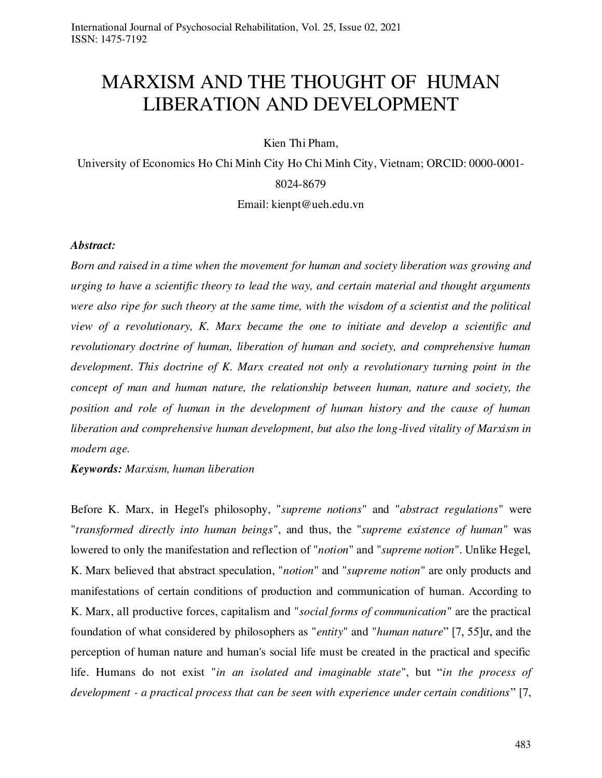# MARXISM AND THE THOUGHT OF HUMAN LIBERATION AND DEVELOPMENT

Kien Thi Pham,

University of Economics Ho Chi Minh City Ho Chi Minh City, Vietnam; ORCID: 0000-0001- 8024-8679

Email: kienpt@ueh.edu.vn

#### *Abstract:*

*Born and raised in a time when the movement for human and society liberation was growing and urging to have a scientific theory to lead the way, and certain material and thought arguments were also ripe for such theory at the same time, with the wisdom of a scientist and the political view of a revolutionary, K. Marx became the one to initiate and develop a scientific and revolutionary doctrine of human, liberation of human and society, and comprehensive human development. This doctrine of K. Marx created not only a revolutionary turning point in the concept of man and human nature, the relationship between human, nature and society, the position and role of human in the development of human history and the cause of human liberation and comprehensive human development, but also the long-lived vitality of Marxism in modern age.* 

*Keywords: Marxism, human liberation* 

Before K. Marx, in Hegel's philosophy, "*supreme notions*" and "*abstract regulations*" were "*transformed directly into human beings*", and thus, the "*supreme existence of human*" was lowered to only the manifestation and reflection of "*notion*" and "*supreme notion*". Unlike Hegel, K. Marx believed that abstract speculation, "*notion*" and "*supreme notion*" are only products and manifestations of certain conditions of production and communication of human. According to K. Marx, all productive forces, capitalism and "*social forms of communication*" are the practical foundation of what considered by philosophers as "*entity*" and "*human nature*" [7, 55]ư, and the perception of human nature and human's social life must be created in the practical and specific life. Humans do not exist "*in an isolated and imaginable state*", but "*in the process of development - a practical process that can be seen with experience under certain conditions*" [7,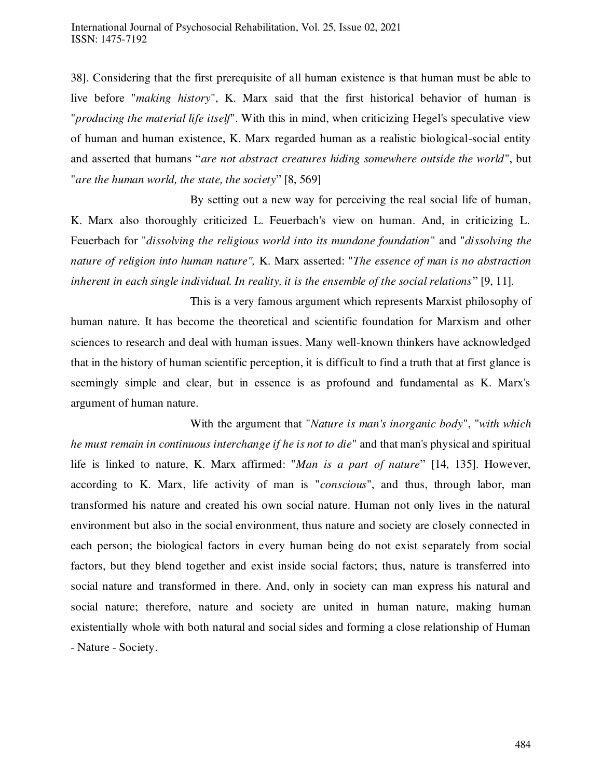38]. Considering that the first prerequisite of all human existence is that human must be able to live before "*making history*", K. Marx said that the first historical behavior of human is "*producing the material life itself*". With this in mind, when criticizing Hegel's speculative view of human and human existence, K. Marx regarded human as a realistic biological-social entity and asserted that humans "*are not abstract creatures hiding somewhere outside the world*", but "*are the human world, the state, the society*" [8, 569]

 By setting out a new way for perceiving the real social life of human, K. Marx also thoroughly criticized L. Feuerbach's view on human. And, in criticizing L. Feuerbach for "*dissolving the religious world into its mundane foundation*" and "*dissolving the nature of religion into human nature",* K. Marx asserted: "*The essence of man is no abstraction inherent in each single individual. In reality, it is the ensemble of the social relations*" [9, 11].

 This is a very famous argument which represents Marxist philosophy of human nature. It has become the theoretical and scientific foundation for Marxism and other sciences to research and deal with human issues. Many well-known thinkers have acknowledged that in the history of human scientific perception, it is difficult to find a truth that at first glance is seemingly simple and clear, but in essence is as profound and fundamental as K. Marx's argument of human nature.

 With the argument that "*Nature is man's inorganic body*", "*with which he must remain in continuous interchange if he is not to die*" and that man's physical and spiritual life is linked to nature, K. Marx affirmed: "*Man is a part of nature*" [14, 135]. However, according to K. Marx, life activity of man is "*conscious*", and thus, through labor, man transformed his nature and created his own social nature. Human not only lives in the natural environment but also in the social environment, thus nature and society are closely connected in each person; the biological factors in every human being do not exist separately from social factors, but they blend together and exist inside social factors; thus, nature is transferred into social nature and transformed in there. And, only in society can man express his natural and social nature; therefore, nature and society are united in human nature, making human existentially whole with both natural and social sides and forming a close relationship of Human - Nature - Society.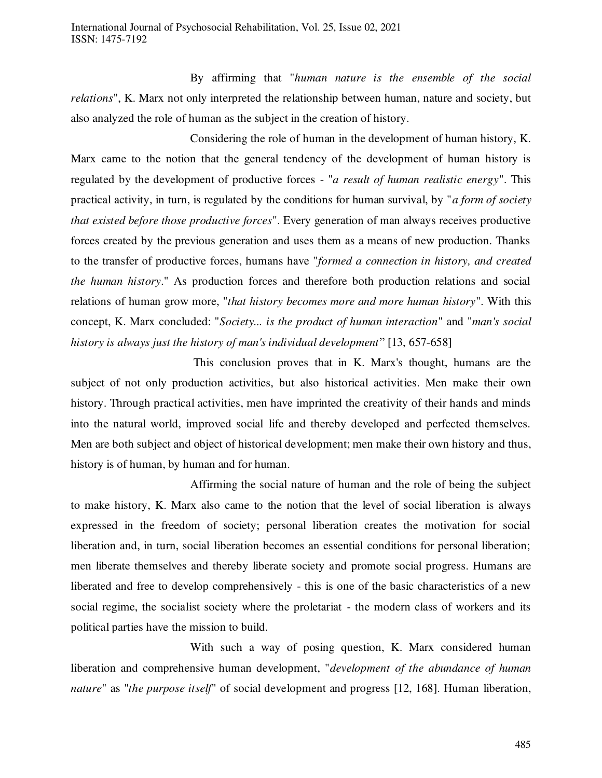By affirming that "*human nature is the ensemble of the social relations*", K. Marx not only interpreted the relationship between human, nature and society, but also analyzed the role of human as the subject in the creation of history.

 Considering the role of human in the development of human history, K. Marx came to the notion that the general tendency of the development of human history is regulated by the development of productive forces - "*a result of human realistic energy*". This practical activity, in turn, is regulated by the conditions for human survival, by "*a form of society that existed before those productive forces*". Every generation of man always receives productive forces created by the previous generation and uses them as a means of new production. Thanks to the transfer of productive forces, humans have "*formed a connection in history, and created the human history*." As production forces and therefore both production relations and social relations of human grow more, "*that history becomes more and more human history*". With this concept, K. Marx concluded: "*Society... is the product of human interaction*" and "*man's social history is always just the history of man's individual development*" [13, 657-658]

 This conclusion proves that in K. Marx's thought, humans are the subject of not only production activities, but also historical activities. Men make their own history. Through practical activities, men have imprinted the creativity of their hands and minds into the natural world, improved social life and thereby developed and perfected themselves. Men are both subject and object of historical development; men make their own history and thus, history is of human, by human and for human.

 Affirming the social nature of human and the role of being the subject to make history, K. Marx also came to the notion that the level of social liberation is always expressed in the freedom of society; personal liberation creates the motivation for social liberation and, in turn, social liberation becomes an essential conditions for personal liberation; men liberate themselves and thereby liberate society and promote social progress. Humans are liberated and free to develop comprehensively - this is one of the basic characteristics of a new social regime, the socialist society where the proletariat - the modern class of workers and its political parties have the mission to build.

 With such a way of posing question, K. Marx considered human liberation and comprehensive human development, "*development of the abundance of human nature*" as "*the purpose itself*" of social development and progress [12, 168]. Human liberation,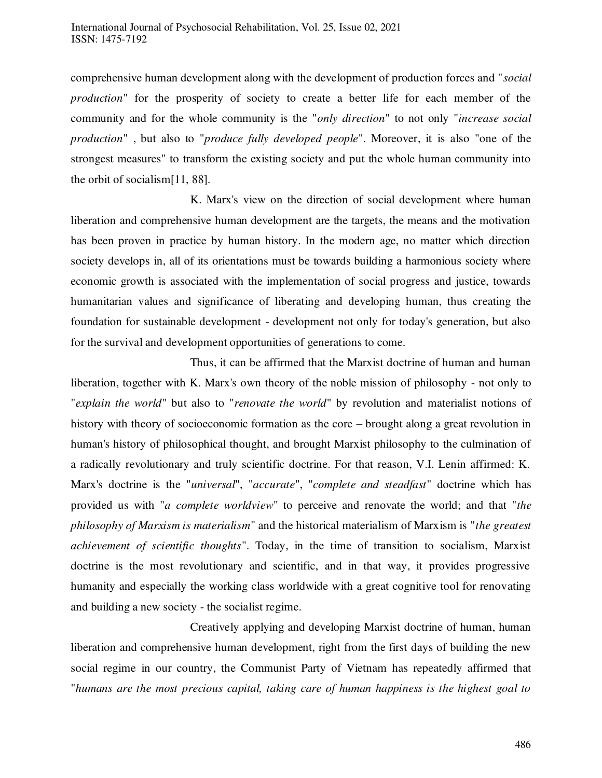comprehensive human development along with the development of production forces and "*social production*" for the prosperity of society to create a better life for each member of the community and for the whole community is the "*only direction*" to not only "*increase social production*" , but also to "*produce fully developed people*". Moreover, it is also "one of the strongest measures" to transform the existing society and put the whole human community into the orbit of socialism[11, 88].

 K. Marx's view on the direction of social development where human liberation and comprehensive human development are the targets, the means and the motivation has been proven in practice by human history. In the modern age, no matter which direction society develops in, all of its orientations must be towards building a harmonious society where economic growth is associated with the implementation of social progress and justice, towards humanitarian values and significance of liberating and developing human, thus creating the foundation for sustainable development - development not only for today's generation, but also for the survival and development opportunities of generations to come.

 Thus, it can be affirmed that the Marxist doctrine of human and human liberation, together with K. Marx's own theory of the noble mission of philosophy - not only to "*explain the world*" but also to "*renovate the world*" by revolution and materialist notions of history with theory of socioeconomic formation as the core – brought along a great revolution in human's history of philosophical thought, and brought Marxist philosophy to the culmination of a radically revolutionary and truly scientific doctrine. For that reason, V.I. Lenin affirmed: K. Marx's doctrine is the "*universal*", "*accurate*", "*complete and steadfast*" doctrine which has provided us with "*a complete worldview*" to perceive and renovate the world; and that "*the philosophy of Marxism is materialism*" and the historical materialism of Marxism is "*the greatest achievement of scientific thoughts*". Today, in the time of transition to socialism, Marxist doctrine is the most revolutionary and scientific, and in that way, it provides progressive humanity and especially the working class worldwide with a great cognitive tool for renovating and building a new society - the socialist regime.

 Creatively applying and developing Marxist doctrine of human, human liberation and comprehensive human development, right from the first days of building the new social regime in our country, the Communist Party of Vietnam has repeatedly affirmed that "*humans are the most precious capital, taking care of human happiness is the highest goal to*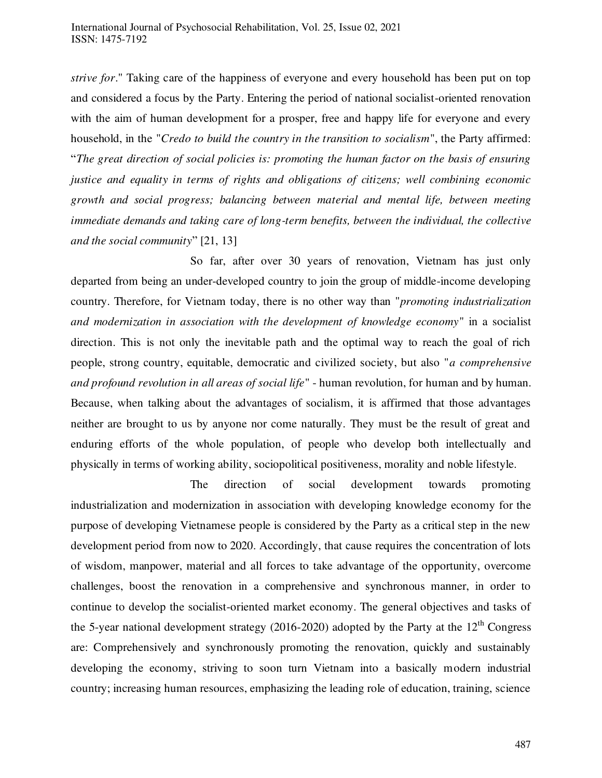*strive for*." Taking care of the happiness of everyone and every household has been put on top and considered a focus by the Party. Entering the period of national socialist-oriented renovation with the aim of human development for a prosper, free and happy life for everyone and every household, in the "*Credo to build the country in the transition to socialism*", the Party affirmed: "*The great direction of social policies is: promoting the human factor on the basis of ensuring justice and equality in terms of rights and obligations of citizens; well combining economic growth and social progress; balancing between material and mental life, between meeting immediate demands and taking care of long-term benefits, between the individual, the collective and the social community*" [21, 13]

 So far, after over 30 years of renovation, Vietnam has just only departed from being an under-developed country to join the group of middle-income developing country. Therefore, for Vietnam today, there is no other way than "*promoting industrialization and modernization in association with the development of knowledge economy*" in a socialist direction. This is not only the inevitable path and the optimal way to reach the goal of rich people, strong country, equitable, democratic and civilized society, but also "*a comprehensive and profound revolution in all areas of social life*" - human revolution, for human and by human. Because, when talking about the advantages of socialism, it is affirmed that those advantages neither are brought to us by anyone nor come naturally. They must be the result of great and enduring efforts of the whole population, of people who develop both intellectually and physically in terms of working ability, sociopolitical positiveness, morality and noble lifestyle.

 The direction of social development towards promoting industrialization and modernization in association with developing knowledge economy for the purpose of developing Vietnamese people is considered by the Party as a critical step in the new development period from now to 2020. Accordingly, that cause requires the concentration of lots of wisdom, manpower, material and all forces to take advantage of the opportunity, overcome challenges, boost the renovation in a comprehensive and synchronous manner, in order to continue to develop the socialist-oriented market economy. The general objectives and tasks of the 5-year national development strategy (2016-2020) adopted by the Party at the  $12<sup>th</sup>$  Congress are: Comprehensively and synchronously promoting the renovation, quickly and sustainably developing the economy, striving to soon turn Vietnam into a basically modern industrial country; increasing human resources, emphasizing the leading role of education, training, science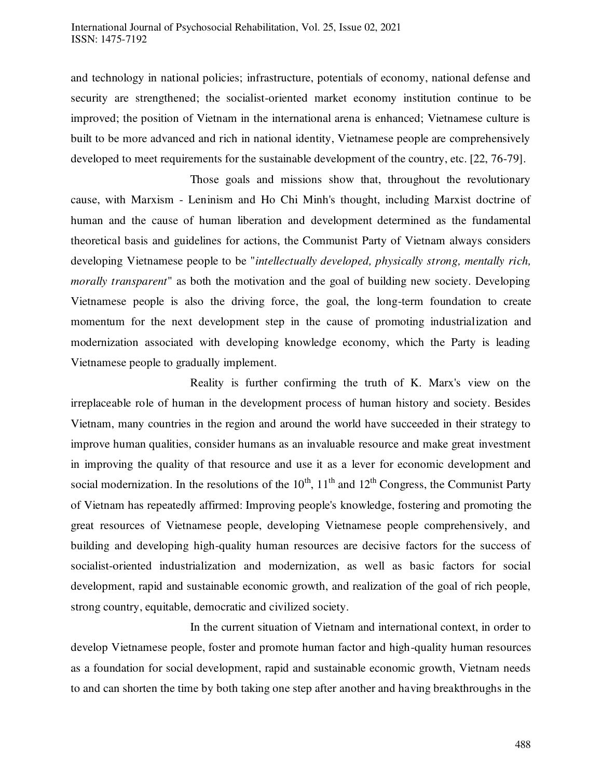and technology in national policies; infrastructure, potentials of economy, national defense and security are strengthened; the socialist-oriented market economy institution continue to be improved; the position of Vietnam in the international arena is enhanced; Vietnamese culture is built to be more advanced and rich in national identity, Vietnamese people are comprehensively developed to meet requirements for the sustainable development of the country, etc. [22, 76-79].

 Those goals and missions show that, throughout the revolutionary cause, with Marxism - Leninism and Ho Chi Minh's thought, including Marxist doctrine of human and the cause of human liberation and development determined as the fundamental theoretical basis and guidelines for actions, the Communist Party of Vietnam always considers developing Vietnamese people to be "*intellectually developed, physically strong, mentally rich, morally transparent*" as both the motivation and the goal of building new society. Developing Vietnamese people is also the driving force, the goal, the long-term foundation to create momentum for the next development step in the cause of promoting industrialization and modernization associated with developing knowledge economy, which the Party is leading Vietnamese people to gradually implement.

 Reality is further confirming the truth of K. Marx's view on the irreplaceable role of human in the development process of human history and society. Besides Vietnam, many countries in the region and around the world have succeeded in their strategy to improve human qualities, consider humans as an invaluable resource and make great investment in improving the quality of that resource and use it as a lever for economic development and social modernization. In the resolutions of the  $10^{th}$ ,  $11^{th}$  and  $12^{th}$  Congress, the Communist Party of Vietnam has repeatedly affirmed: Improving people's knowledge, fostering and promoting the great resources of Vietnamese people, developing Vietnamese people comprehensively, and building and developing high-quality human resources are decisive factors for the success of socialist-oriented industrialization and modernization, as well as basic factors for social development, rapid and sustainable economic growth, and realization of the goal of rich people, strong country, equitable, democratic and civilized society.

 In the current situation of Vietnam and international context, in order to develop Vietnamese people, foster and promote human factor and high-quality human resources as a foundation for social development, rapid and sustainable economic growth, Vietnam needs to and can shorten the time by both taking one step after another and having breakthroughs in the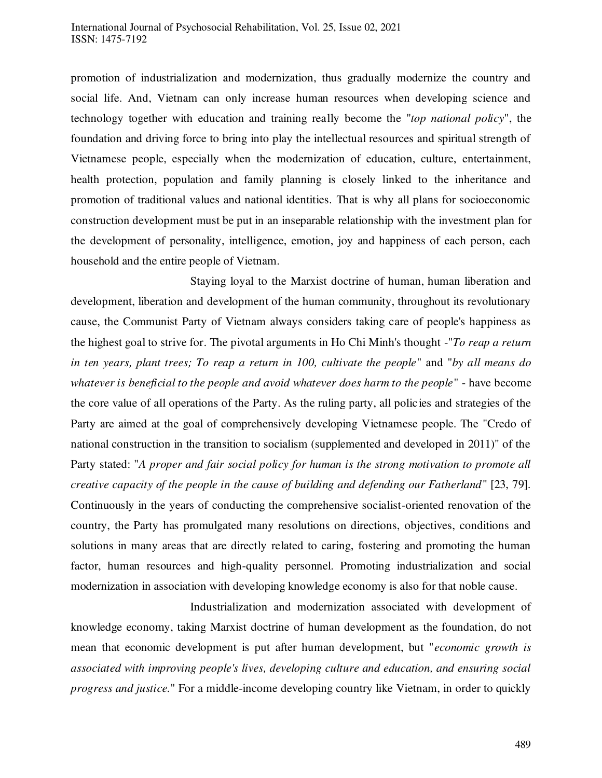#### International Journal of Psychosocial Rehabilitation, Vol. 25, Issue 02, 2021 ISSN: 1475-7192

promotion of industrialization and modernization, thus gradually modernize the country and social life. And, Vietnam can only increase human resources when developing science and technology together with education and training really become the "*top national policy*", the foundation and driving force to bring into play the intellectual resources and spiritual strength of Vietnamese people, especially when the modernization of education, culture, entertainment, health protection, population and family planning is closely linked to the inheritance and promotion of traditional values and national identities. That is why all plans for socioeconomic construction development must be put in an inseparable relationship with the investment plan for the development of personality, intelligence, emotion, joy and happiness of each person, each household and the entire people of Vietnam.

 Staying loyal to the Marxist doctrine of human, human liberation and development, liberation and development of the human community, throughout its revolutionary cause, the Communist Party of Vietnam always considers taking care of people's happiness as the highest goal to strive for. The pivotal arguments in Ho Chi Minh's thought -"*To reap a return in ten years, plant trees; To reap a return in 100, cultivate the people*" and "*by all means do whatever is beneficial to the people and avoid whatever does harm to the people*" - have become the core value of all operations of the Party. As the ruling party, all policies and strategies of the Party are aimed at the goal of comprehensively developing Vietnamese people. The "Credo of national construction in the transition to socialism (supplemented and developed in 2011)" of the Party stated: "*A proper and fair social policy for human is the strong motivation to promote all creative capacity of the people in the cause of building and defending our Fatherland*" [23, 79]. Continuously in the years of conducting the comprehensive socialist-oriented renovation of the country, the Party has promulgated many resolutions on directions, objectives, conditions and solutions in many areas that are directly related to caring, fostering and promoting the human factor, human resources and high-quality personnel. Promoting industrialization and social modernization in association with developing knowledge economy is also for that noble cause.

 Industrialization and modernization associated with development of knowledge economy, taking Marxist doctrine of human development as the foundation, do not mean that economic development is put after human development, but "*economic growth is associated with improving people's lives, developing culture and education, and ensuring social progress and justice.*" For a middle-income developing country like Vietnam, in order to quickly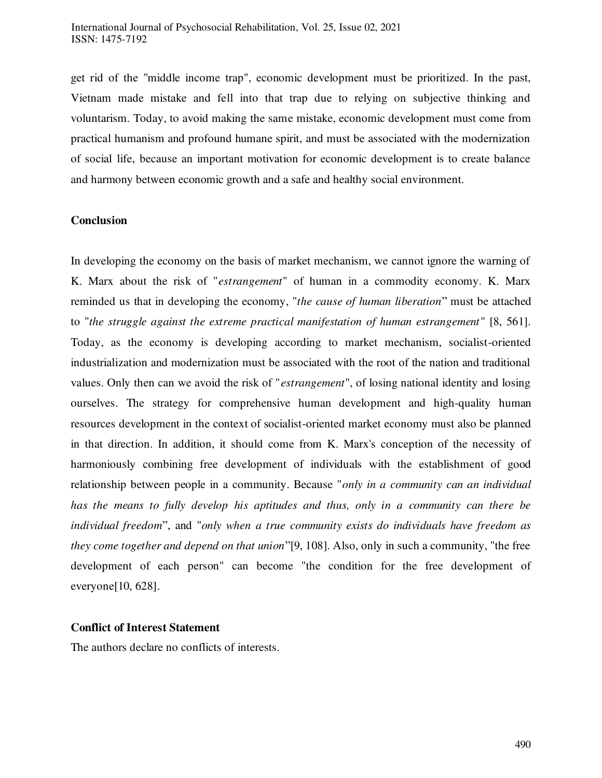get rid of the "middle income trap", economic development must be prioritized. In the past, Vietnam made mistake and fell into that trap due to relying on subjective thinking and voluntarism. Today, to avoid making the same mistake, economic development must come from practical humanism and profound humane spirit, and must be associated with the modernization of social life, because an important motivation for economic development is to create balance and harmony between economic growth and a safe and healthy social environment.

## **Conclusion**

In developing the economy on the basis of market mechanism, we cannot ignore the warning of K. Marx about the risk of "*estrangement*" of human in a commodity economy. K. Marx reminded us that in developing the economy, "*the cause of human liberation*" must be attached to "*the struggle against the extreme practical manifestation of human estrangement* " [8, 561]. Today, as the economy is developing according to market mechanism, socialist-oriented industrialization and modernization must be associated with the root of the nation and traditional values. Only then can we avoid the risk of "*estrangement*", of losing national identity and losing ourselves. The strategy for comprehensive human development and high-quality human resources development in the context of socialist-oriented market economy must also be planned in that direction. In addition, it should come from K. Marx's conception of the necessity of harmoniously combining free development of individuals with the establishment of good relationship between people in a community. Because "*only in a community can an individual has the means to fully develop his aptitudes and thus, only in a community can there be individual freedom*", and "*only when a true community exists do individuals have freedom as they come together and depend on that union*"[9, 108]. Also, only in such a community, "the free development of each person" can become "the condition for the free development of everyone[10, 628].

# **Conflict of Interest Statement**

The authors declare no conflicts of interests.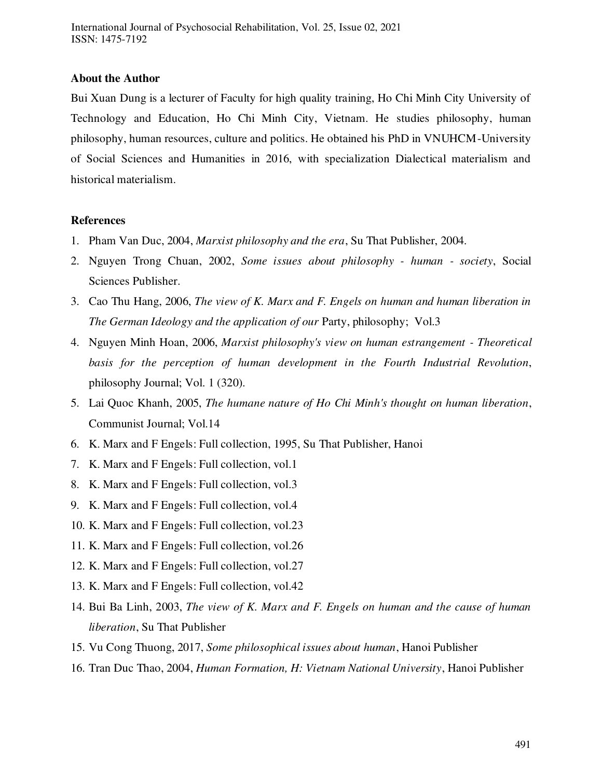## **About the Author**

Bui Xuan Dung is a lecturer of Faculty for high quality training, Ho Chi Minh City University of Technology and Education, Ho Chi Minh City, Vietnam. He studies philosophy, human philosophy, human resources, culture and politics. He obtained his PhD in VNUHCM-University of Social Sciences and Humanities in 2016, with specialization Dialectical materialism and historical materialism.

# **References**

- 1. Pham Van Duc, 2004, *Marxist philosophy and the era*, Su That Publisher, 2004.
- 2. Nguyen Trong Chuan, 2002, *Some issues about philosophy human society*, Social Sciences Publisher.
- 3. Cao Thu Hang, 2006, *The view of K. Marx and F. Engels on human and human liberation in The German Ideology and the application of our Party, philosophy; Vol.3*
- 4. Nguyen Minh Hoan, 2006, *Marxist philosophy's view on human estrangement Theoretical basis for the perception of human development in the Fourth Industrial Revolution*, philosophy Journal; Vol. 1 (320).
- 5. Lai Quoc Khanh, 2005, *The humane nature of Ho Chi Minh's thought on human liberation*, Communist Journal; Vol.14
- 6. K. Marx and F Engels: Full collection, 1995, Su That Publisher, Hanoi
- 7. K. Marx and F Engels: Full collection, vol.1
- 8. K. Marx and F Engels: Full collection, vol.3
- 9. K. Marx and F Engels: Full collection, vol.4
- 10. K. Marx and F Engels: Full collection, vol.23
- 11. K. Marx and F Engels: Full collection, vol.26
- 12. K. Marx and F Engels: Full collection, vol.27
- 13. K. Marx and F Engels: Full collection, vol.42
- 14. Bui Ba Linh, 2003, *The view of K. Marx and F. Engels on human and the cause of human liberation*, Su That Publisher
- 15. Vu Cong Thuong, 2017, *Some philosophical issues about human*, Hanoi Publisher
- 16. Tran Duc Thao, 2004, *Human Formation, H: Vietnam National University*, Hanoi Publisher